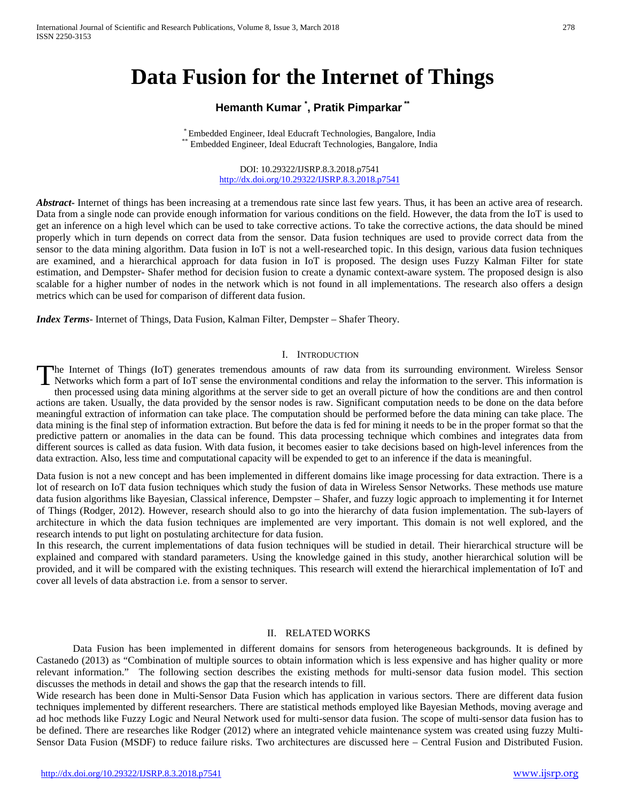# **Data Fusion for the Internet of Things**

# **Hemanth Kumar \* , Pratik Pimparkar\*\***

\* Embedded Engineer, Ideal Educraft Technologies, Bangalore, India \*\* Embedded Engineer, Ideal Educraft Technologies, Bangalore, India

#### DOI: 10.29322/IJSRP.8.3.2018.p7541 <http://dx.doi.org/10.29322/IJSRP.8.3.2018.p7541>

*Abstract* Internet of things has been increasing at a tremendous rate since last few years. Thus, it has been an active area of research. Data from a single node can provide enough information for various conditions on the field. However, the data from the IoT is used to get an inference on a high level which can be used to take corrective actions. To take the corrective actions, the data should be mined properly which in turn depends on correct data from the sensor. Data fusion techniques are used to provide correct data from the sensor to the data mining algorithm. Data fusion in IoT is not a well-researched topic. In this design, various data fusion techniques are examined, and a hierarchical approach for data fusion in IoT is proposed. The design uses Fuzzy Kalman Filter for state estimation, and Dempster- Shafer method for decision fusion to create a dynamic context-aware system. The proposed design is also scalable for a higher number of nodes in the network which is not found in all implementations. The research also offers a design metrics which can be used for comparison of different data fusion.

*Index Terms*- Internet of Things, Data Fusion, Kalman Filter, Dempster – Shafer Theory.

#### I. INTRODUCTION

he Internet of Things (IoT) generates tremendous amounts of raw data from its surrounding environment. Wireless Sensor The Internet of Things (IoT) generates tremendous amounts of raw data from its surrounding environment. Wireless Sensor<br>Networks which form a part of IoT sense the environmental conditions and relay the information to the then processed using data mining algorithms at the server side to get an overall picture of how the conditions are and then control actions are taken. Usually, the data provided by the sensor nodes is raw. Significant computation needs to be done on the data before meaningful extraction of information can take place. The computation should be performed before the data mining can take place. The data mining is the final step of information extraction. But before the data is fed for mining it needs to be in the proper format so that the predictive pattern or anomalies in the data can be found. This data processing technique which combines and integrates data from different sources is called as data fusion. With data fusion, it becomes easier to take decisions based on high-level inferences from the data extraction. Also, less time and computational capacity will be expended to get to an inference if the data is meaningful.

Data fusion is not a new concept and has been implemented in different domains like image processing for data extraction. There is a lot of research on IoT data fusion techniques which study the fusion of data in Wireless Sensor Networks. These methods use mature data fusion algorithms like Bayesian, Classical inference, Dempster – Shafer, and fuzzy logic approach to implementing it for Internet of Things (Rodger, 2012). However, research should also to go into the hierarchy of data fusion implementation. The sub-layers of architecture in which the data fusion techniques are implemented are very important. This domain is not well explored, and the research intends to put light on postulating architecture for data fusion.

In this research, the current implementations of data fusion techniques will be studied in detail. Their hierarchical structure will be explained and compared with standard parameters. Using the knowledge gained in this study, another hierarchical solution will be provided, and it will be compared with the existing techniques. This research will extend the hierarchical implementation of IoT and cover all levels of data abstraction i.e. from a sensor to server.

#### II. RELATED WORKS

Data Fusion has been implemented in different domains for sensors from heterogeneous backgrounds. It is defined by Castanedo (2013) as "Combination of multiple sources to obtain information which is less expensive and has higher quality or more relevant information." The following section describes the existing methods for multi-sensor data fusion model. This section discusses the methods in detail and shows the gap that the research intends to fill.

Wide research has been done in Multi-Sensor Data Fusion which has application in various sectors. There are different data fusion techniques implemented by different researchers. There are statistical methods employed like Bayesian Methods, moving average and ad hoc methods like Fuzzy Logic and Neural Network used for multi-sensor data fusion. The scope of multi-sensor data fusion has to be defined. There are researches like Rodger (2012) where an integrated vehicle maintenance system was created using fuzzy Multi-Sensor Data Fusion (MSDF) to reduce failure risks. Two architectures are discussed here – Central Fusion and Distributed Fusion.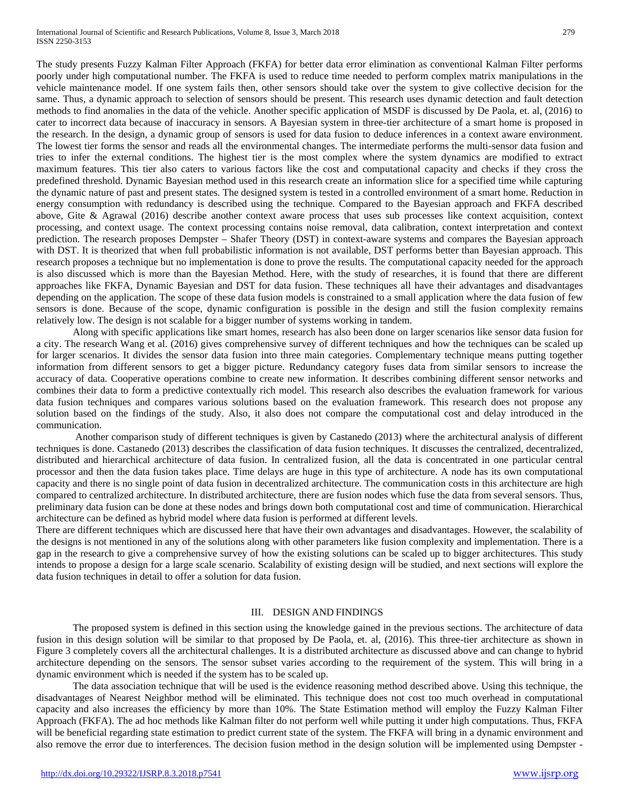The study presents Fuzzy Kalman Filter Approach (FKFA) for better data error elimination as conventional Kalman Filter performs poorly under high computational number. The FKFA is used to reduce time needed to perform complex matrix manipulations in the vehicle maintenance model. If one system fails then, other sensors should take over the system to give collective decision for the same. Thus, a dynamic approach to selection of sensors should be present. This research uses dynamic detection and fault detection methods to find anomalies in the data of the vehicle. Another specific application of MSDF is discussed by De Paola, et. al, (2016) to cater to incorrect data because of inaccuracy in sensors. A Bayesian system in three-tier architecture of a smart home is proposed in the research. In the design, a dynamic group of sensors is used for data fusion to deduce inferences in a context aware environment. The lowest tier forms the sensor and reads all the environmental changes. The intermediate performs the multi-sensor data fusion and tries to infer the external conditions. The highest tier is the most complex where the system dynamics are modified to extract maximum features. This tier also caters to various factors like the cost and computational capacity and checks if they cross the predefined threshold. Dynamic Bayesian method used in this research create an information slice for a specified time while capturing the dynamic nature of past and present states. The designed system is tested in a controlled environment of a smart home. Reduction in energy consumption with redundancy is described using the technique. Compared to the Bayesian approach and FKFA described above, Gite & Agrawal (2016) describe another context aware process that uses sub processes like context acquisition, context processing, and context usage. The context processing contains noise removal, data calibration, context interpretation and context prediction. The research proposes Dempster – Shafer Theory (DST) in context-aware systems and compares the Bayesian approach with DST. It is theorized that when full probabilistic information is not available, DST performs better than Bayesian approach. This research proposes a technique but no implementation is done to prove the results. The computational capacity needed for the approach is also discussed which is more than the Bayesian Method. Here, with the study of researches, it is found that there are different approaches like FKFA, Dynamic Bayesian and DST for data fusion. These techniques all have their advantages and disadvantages depending on the application. The scope of these data fusion models is constrained to a small application where the data fusion of few sensors is done. Because of the scope, dynamic configuration is possible in the design and still the fusion complexity remains relatively low. The design is not scalable for a bigger number of systems working in tandem.

Along with specific applications like smart homes, research has also been done on larger scenarios like sensor data fusion for a city. The research Wang et al. (2016) gives comprehensive survey of different techniques and how the techniques can be scaled up for larger scenarios. It divides the sensor data fusion into three main categories. Complementary technique means putting together information from different sensors to get a bigger picture. Redundancy category fuses data from similar sensors to increase the accuracy of data. Cooperative operations combine to create new information. It describes combining different sensor networks and combines their data to form a predictive contextually rich model. This research also describes the evaluation framework for various data fusion techniques and compares various solutions based on the evaluation framework. This research does not propose any solution based on the findings of the study. Also, it also does not compare the computational cost and delay introduced in the communication.

Another comparison study of different techniques is given by Castanedo (2013) where the architectural analysis of different techniques is done. Castanedo (2013) describes the classification of data fusion techniques. It discusses the centralized, decentralized, distributed and hierarchical architecture of data fusion. In centralized fusion, all the data is concentrated in one particular central processor and then the data fusion takes place. Time delays are huge in this type of architecture. A node has its own computational capacity and there is no single point of data fusion in decentralized architecture. The communication costs in this architecture are high compared to centralized architecture. In distributed architecture, there are fusion nodes which fuse the data from several sensors. Thus, preliminary data fusion can be done at these nodes and brings down both computational cost and time of communication. Hierarchical architecture can be defined as hybrid model where data fusion is performed at different levels.

There are different techniques which are discussed here that have their own advantages and disadvantages. However, the scalability of the designs is not mentioned in any of the solutions along with other parameters like fusion complexity and implementation. There is a gap in the research to give a comprehensive survey of how the existing solutions can be scaled up to bigger architectures. This study intends to propose a design for a large scale scenario. Scalability of existing design will be studied, and next sections will explore the data fusion techniques in detail to offer a solution for data fusion.

## III. DESIGN AND FINDINGS

The proposed system is defined in this section using the knowledge gained in the previous sections. The architecture of data fusion in this design solution will be similar to that proposed by De Paola, et. al, (2016). This three-tier architecture as shown in Figure 3 completely covers all the architectural challenges. It is a distributed architecture as discussed above and can change to hybrid architecture depending on the sensors. The sensor subset varies according to the requirement of the system. This will bring in a dynamic environment which is needed if the system has to be scaled up.

The data association technique that will be used is the evidence reasoning method described above. Using this technique, the disadvantages of Nearest Neighbor method will be eliminated. This technique does not cost too much overhead in computational capacity and also increases the efficiency by more than 10%. The State Estimation method will employ the Fuzzy Kalman Filter Approach (FKFA). The ad hoc methods like Kalman filter do not perform well while putting it under high computations. Thus, FKFA will be beneficial regarding state estimation to predict current state of the system. The FKFA will bring in a dynamic environment and also remove the error due to interferences. The decision fusion method in the design solution will be implemented using Dempster -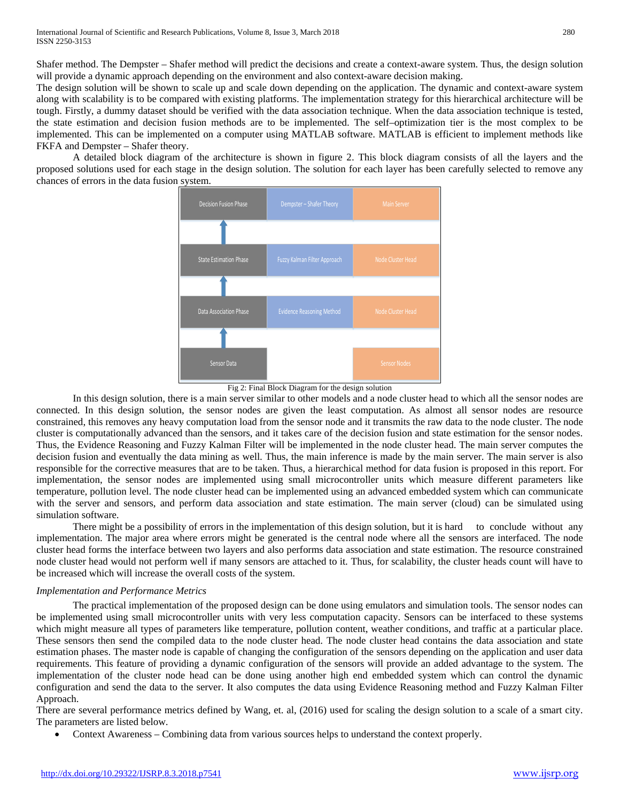Shafer method. The Dempster – Shafer method will predict the decisions and create a context-aware system. Thus, the design solution will provide a dynamic approach depending on the environment and also context-aware decision making.

The design solution will be shown to scale up and scale down depending on the application. The dynamic and context-aware system along with scalability is to be compared with existing platforms. The implementation strategy for this hierarchical architecture will be tough. Firstly, a dummy dataset should be verified with the data association technique. When the data association technique is tested, the state estimation and decision fusion methods are to be implemented. The self–optimization tier is the most complex to be implemented. This can be implemented on a computer using MATLAB software. MATLAB is efficient to implement methods like FKFA and Dempster – Shafer theory.

A detailed block diagram of the architecture is shown in figure 2. This block diagram consists of all the layers and the proposed solutions used for each stage in the design solution. The solution for each layer has been carefully selected to remove any chances of errors in the data fusion system.



Fig 2: Final Block Diagram for the design solution

In this design solution, there is a main server similar to other models and a node cluster head to which all the sensor nodes are connected. In this design solution, the sensor nodes are given the least computation. As almost all sensor nodes are resource constrained, this removes any heavy computation load from the sensor node and it transmits the raw data to the node cluster. The node cluster is computationally advanced than the sensors, and it takes care of the decision fusion and state estimation for the sensor nodes. Thus, the Evidence Reasoning and Fuzzy Kalman Filter will be implemented in the node cluster head. The main server computes the decision fusion and eventually the data mining as well. Thus, the main inference is made by the main server. The main server is also responsible for the corrective measures that are to be taken. Thus, a hierarchical method for data fusion is proposed in this report. For implementation, the sensor nodes are implemented using small microcontroller units which measure different parameters like temperature, pollution level. The node cluster head can be implemented using an advanced embedded system which can communicate with the server and sensors, and perform data association and state estimation. The main server (cloud) can be simulated using simulation software.

There might be a possibility of errors in the implementation of this design solution, but it is hard to conclude without any implementation. The major area where errors might be generated is the central node where all the sensors are interfaced. The node cluster head forms the interface between two layers and also performs data association and state estimation. The resource constrained node cluster head would not perform well if many sensors are attached to it. Thus, for scalability, the cluster heads count will have to be increased which will increase the overall costs of the system.

#### *Implementation and Performance Metrics*

The practical implementation of the proposed design can be done using emulators and simulation tools. The sensor nodes can be implemented using small microcontroller units with very less computation capacity. Sensors can be interfaced to these systems which might measure all types of parameters like temperature, pollution content, weather conditions, and traffic at a particular place. These sensors then send the compiled data to the node cluster head. The node cluster head contains the data association and state estimation phases. The master node is capable of changing the configuration of the sensors depending on the application and user data requirements. This feature of providing a dynamic configuration of the sensors will provide an added advantage to the system. The implementation of the cluster node head can be done using another high end embedded system which can control the dynamic configuration and send the data to the server. It also computes the data using Evidence Reasoning method and Fuzzy Kalman Filter Approach.

There are several performance metrics defined by Wang, et. al, (2016) used for scaling the design solution to a scale of a smart city. The parameters are listed below.

• Context Awareness – Combining data from various sources helps to understand the context properly.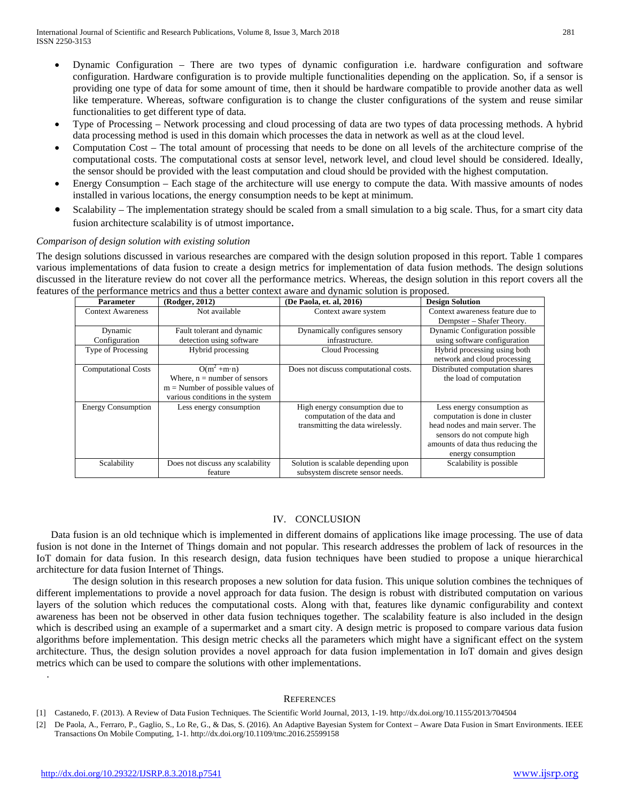- Dynamic Configuration There are two types of dynamic configuration i.e. hardware configuration and software configuration. Hardware configuration is to provide multiple functionalities depending on the application. So, if a sensor is providing one type of data for some amount of time, then it should be hardware compatible to provide another data as well like temperature. Whereas, software configuration is to change the cluster configurations of the system and reuse similar functionalities to get different type of data.
- Type of Processing Network processing and cloud processing of data are two types of data processing methods. A hybrid data processing method is used in this domain which processes the data in network as well as at the cloud level.
- Computation Cost The total amount of processing that needs to be done on all levels of the architecture comprise of the computational costs. The computational costs at sensor level, network level, and cloud level should be considered. Ideally, the sensor should be provided with the least computation and cloud should be provided with the highest computation.
- Energy Consumption Each stage of the architecture will use energy to compute the data. With massive amounts of nodes installed in various locations, the energy consumption needs to be kept at minimum.
- Scalability The implementation strategy should be scaled from a small simulation to a big scale. Thus, for a smart city data fusion architecture scalability is of utmost importance.

### *Comparison of design solution with existing solution*

The design solutions discussed in various researches are compared with the design solution proposed in this report. Table 1 compares various implementations of data fusion to create a design metrics for implementation of data fusion methods. The design solutions discussed in the literature review do not cover all the performance metrics. Whereas, the design solution in this report covers all the features of the performance metrics and thus a better context aware and dynamic solution is proposed.

| <b>Parameter</b>           | (Rodger, 2012)                                                                                                                   | (De Paola, et. al, 2016)                                                                           | <b>Design Solution</b>                                                                                                                                                                    |
|----------------------------|----------------------------------------------------------------------------------------------------------------------------------|----------------------------------------------------------------------------------------------------|-------------------------------------------------------------------------------------------------------------------------------------------------------------------------------------------|
| <b>Context Awareness</b>   | Not available                                                                                                                    | Context aware system                                                                               | Context awareness feature due to<br>Dempster – Shafer Theory.                                                                                                                             |
| Dynamic<br>Configuration   | Fault tolerant and dynamic<br>detection using software                                                                           | Dynamically configures sensory<br>infrastructure.                                                  | Dynamic Configuration possible<br>using software configuration                                                                                                                            |
| Type of Processing         | Hybrid processing                                                                                                                | Cloud Processing                                                                                   | Hybrid processing using both<br>network and cloud processing                                                                                                                              |
| <b>Computational Costs</b> | $O(m^2 + m \cdot n)$<br>Where, $n =$ number of sensors<br>$m =$ Number of possible values of<br>various conditions in the system | Does not discuss computational costs.                                                              | Distributed computation shares<br>the load of computation                                                                                                                                 |
| <b>Energy Consumption</b>  | Less energy consumption                                                                                                          | High energy consumption due to<br>computation of the data and<br>transmitting the data wirelessly. | Less energy consumption as<br>computation is done in cluster<br>head nodes and main server. The<br>sensors do not compute high<br>amounts of data thus reducing the<br>energy consumption |
| Scalability                | Does not discuss any scalability<br>feature                                                                                      | Solution is scalable depending upon<br>subsystem discrete sensor needs.                            | Scalability is possible                                                                                                                                                                   |

# IV. CONCLUSION

Data fusion is an old technique which is implemented in different domains of applications like image processing. The use of data fusion is not done in the Internet of Things domain and not popular. This research addresses the problem of lack of resources in the IoT domain for data fusion. In this research design, data fusion techniques have been studied to propose a unique hierarchical architecture for data fusion Internet of Things.

The design solution in this research proposes a new solution for data fusion. This unique solution combines the techniques of different implementations to provide a novel approach for data fusion. The design is robust with distributed computation on various layers of the solution which reduces the computational costs. Along with that, features like dynamic configurability and context awareness has been not be observed in other data fusion techniques together. The scalability feature is also included in the design which is described using an example of a supermarket and a smart city. A design metric is proposed to compare various data fusion algorithms before implementation. This design metric checks all the parameters which might have a significant effect on the system architecture. Thus, the design solution provides a novel approach for data fusion implementation in IoT domain and gives design metrics which can be used to compare the solutions with other implementations.

#### **REFERENCES**

.

<sup>[1]</sup> Castanedo, F. (2013). A Review of Data Fusion Techniques. The Scientific World Journal, 2013, 1-19. http://dx.doi.org/10.1155/2013/704504

<sup>[2]</sup> De Paola, A., Ferraro, P., Gaglio, S., Lo Re, G., & Das, S. (2016). An Adaptive Bayesian System for Context – Aware Data Fusion in Smart Environments. IEEE Transactions On Mobile Computing, 1-1. http://dx.doi.org/10.1109/tmc.2016.25599158